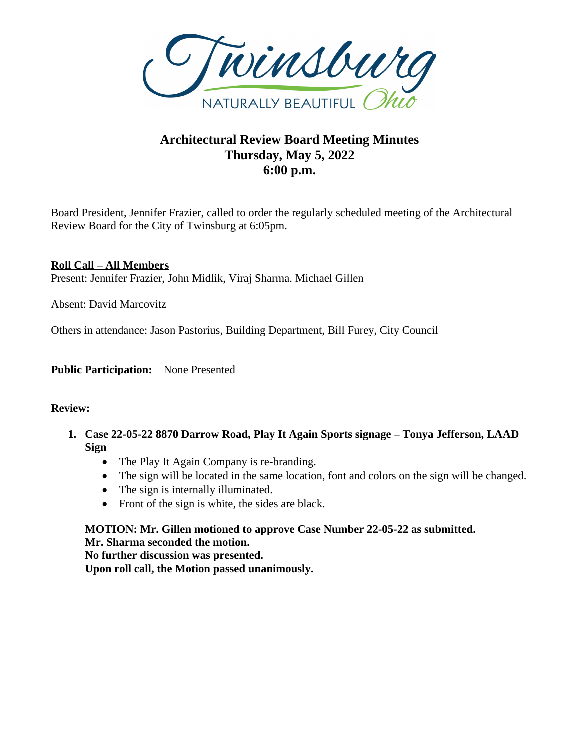

# **Architectural Review Board Meeting Minutes Thursday, May 5, 2022 6:00 p.m.**

Board President, Jennifer Frazier, called to order the regularly scheduled meeting of the Architectural Review Board for the City of Twinsburg at 6:05pm.

**Roll Call – All Members** Present: Jennifer Frazier, John Midlik, Viraj Sharma. Michael Gillen

Absent: David Marcovitz

Others in attendance: Jason Pastorius, Building Department, Bill Furey, City Council

**Public Participation:** None Presented

#### **Review:**

- **1. Case 22-05-22 8870 Darrow Road, Play It Again Sports signage – Tonya Jefferson, LAAD Sign**
	- The Play It Again Company is re-branding.
	- The sign will be located in the same location, font and colors on the sign will be changed.
	- The sign is internally illuminated.
	- Front of the sign is white, the sides are black.

# **MOTION: Mr. Gillen motioned to approve Case Number 22-05-22 as submitted. Mr. Sharma seconded the motion.**

**No further discussion was presented.**

**Upon roll call, the Motion passed unanimously.**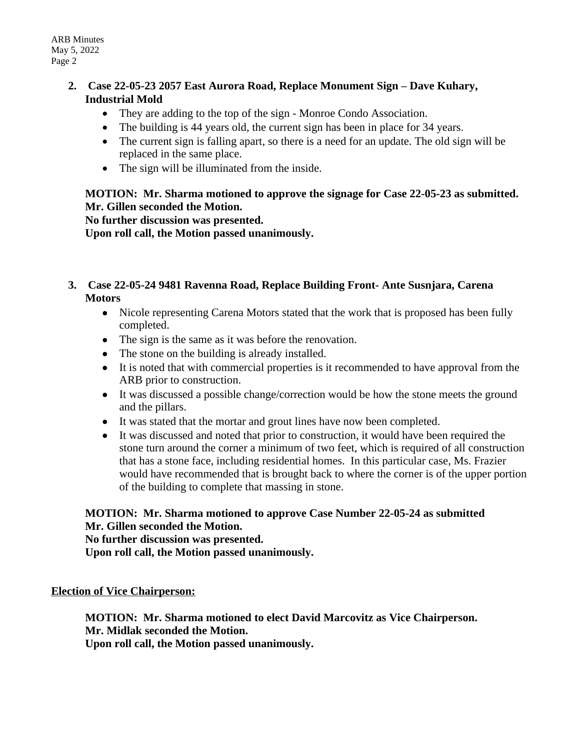#### **2. Case 22-05-23 2057 East Aurora Road, Replace Monument Sign – Dave Kuhary, Industrial Mold**

- They are adding to the top of the sign Monroe Condo Association.
- The building is 44 years old, the current sign has been in place for 34 years.
- The current sign is falling apart, so there is a need for an update. The old sign will be replaced in the same place.
- The sign will be illuminated from the inside.

## **MOTION: Mr. Sharma motioned to approve the signage for Case 22-05-23 as submitted. Mr. Gillen seconded the Motion.**

**No further discussion was presented.**

**Upon roll call, the Motion passed unanimously.**

## **3. Case 22-05-24 9481 Ravenna Road, Replace Building Front- Ante Susnjara, Carena Motors**

- Nicole representing Carena Motors stated that the work that is proposed has been fully completed.
- The sign is the same as it was before the renovation.
- The stone on the building is already installed.
- It is noted that with commercial properties is it recommended to have approval from the ARB prior to construction.
- It was discussed a possible change/correction would be how the stone meets the ground and the pillars.
- It was stated that the mortar and grout lines have now been completed.
- It was discussed and noted that prior to construction, it would have been required the stone turn around the corner a minimum of two feet, which is required of all construction that has a stone face, including residential homes. In this particular case, Ms. Frazier would have recommended that is brought back to where the corner is of the upper portion of the building to complete that massing in stone.

# **MOTION: Mr. Sharma motioned to approve Case Number 22-05-24 as submitted Mr. Gillen seconded the Motion.**

**No further discussion was presented.**

**Upon roll call, the Motion passed unanimously.**

**Election of Vice Chairperson:**

**MOTION: Mr. Sharma motioned to elect David Marcovitz as Vice Chairperson. Mr. Midlak seconded the Motion.**

**Upon roll call, the Motion passed unanimously.**